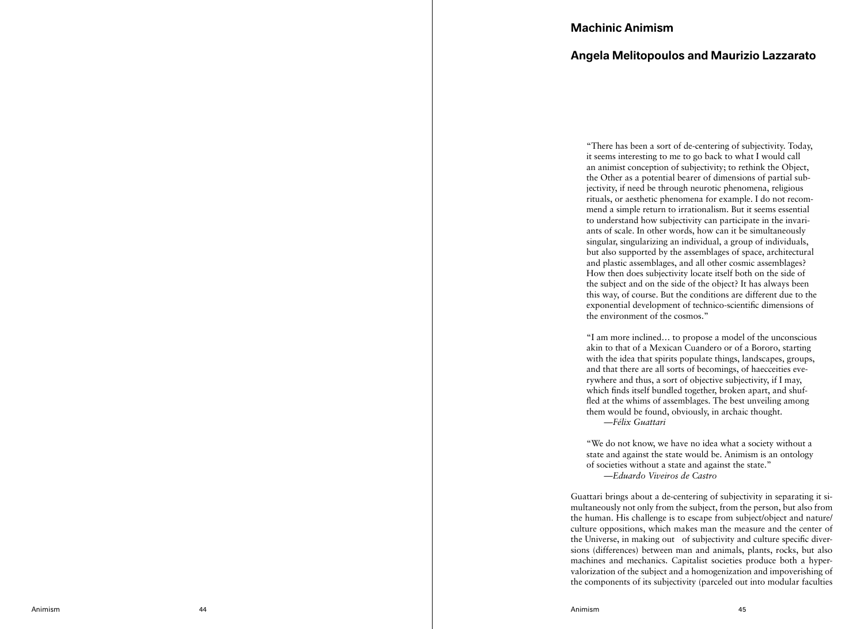## Angela Melitopoulos and Maurizio Lazzarato

"There has been a sort of de-centering of subjectivity. Today, it seems interesting to me to go back to what I would call an animist conception of subjectivity; to rethink the Object, the Other as a potential bearer of dimensions of partial sub jectivity, if need be through neurotic phenomena, religious rituals, or aesthetic phenomena for example. I do not recom mend a simple return to irrationalism. But it seems essential to understand how subjectivity can participate in the invari ants of scale. In other words, how can it be simultaneously singular, singularizing an individual, a group of individuals, but also supported by the assemblages of space, architectural and plastic assemblages, and all other cosmic assemblages? How then does subjectivity locate itself both on the side of the subject and on the side of the object? It has always been this way, of course. But the conditions are different due to the exponential development of technico-scientific dimensions of the environment of the cosmos."

"I am more inclined… to propose a model of the unconscious akin to that of a Mexican Cuandero or of a Bororo, starting with the idea that spirits populate things, landscapes, groups, and that there are all sorts of becomings, of haecceities eve rywhere and thus, a sort of objective subjectivity, if I may, which finds itself bundled together, broken apart, and shuf fled at the whims of assemblages. The best unveiling among them would be found, obviously, in archaic thought. *—Félix Guattari*

"We do not know, we have no idea what a society without a state and against the state would be. Animism is an ontology of societies without a state and against the state." *—Eduardo Viveiros de Castro*

Guattari brings about a de-centering of subjectivity in separating it si multaneously not only from the subject, from the person, but also from the human. His challenge is to escape from subject/object and nature/ culture oppositions, which makes man the measure and the center of the Universe, in making out of subjectivity and culture specific diver sions (differences) between man and animals, plants, rocks, but also machines and mechanics. Capitalist societies produce both a hypervalorization of the subject and a homogenization and impoverishing of the components of its subjectivity (parceled out into modular faculties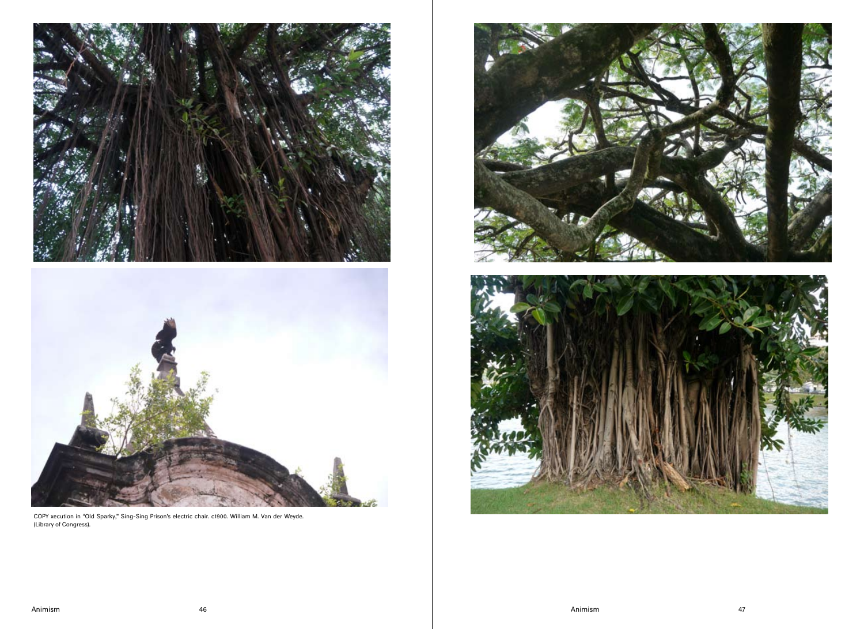



COPY xecution in "Old Sparky," Sing-Sing Prison's electric chair. c1900. William M. Van der Weyde. (Library of Congress).



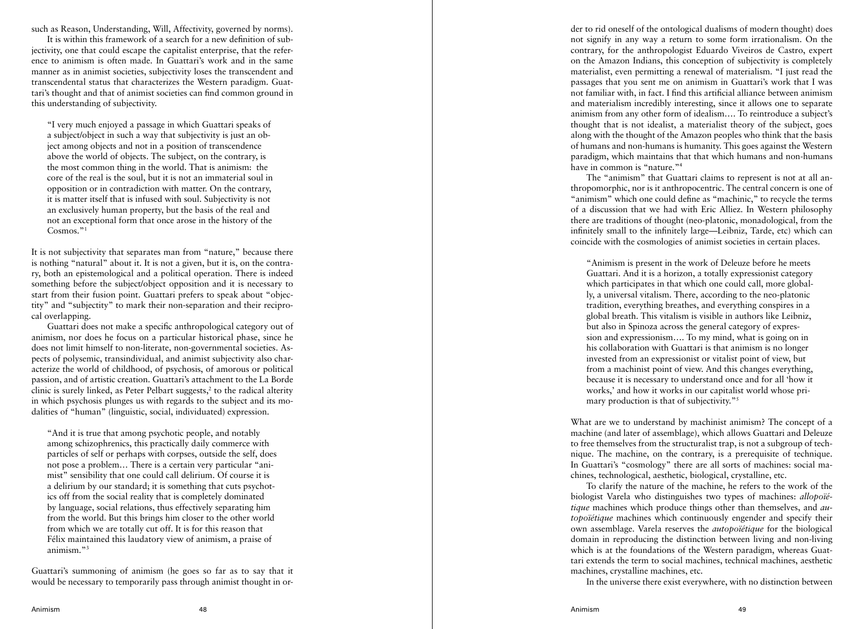such as Reason, Understanding, Will, Affectivity, governed by norms).

It is within this framework of a search for a new definition of sub jectivity, one that could escape the capitalist enterprise, that the refer ence to animism is often made. In Guattari's work and in the same manner as in animist societies, subjectivity loses the transcendent and transcendental status that characterizes the Western paradigm. Guat tari's thought and that of animist societies can find common ground in this understanding of subjectivity.

"I very much enjoyed a passage in which Guattari speaks of a subject/object in such a way that subjectivity is just an ob ject among objects and not in a position of transcendence above the world of objects. The subject, on the contrary, is the most common thing in the world. That is animism: the core of the real is the soul, but it is not an immaterial soul in opposition or in contradiction with matter. On the contrary, it is matter itself that is infused with soul. Subjectivity is not an exclusively human property, but the basis of the real and not an exceptional form that once arose in the history of the Cosmos." 1

It is not subjectivity that separates man from "nature," because there is nothing "natural" about it. It is not a given, but it is, on the contra ry, both an epistemological and a political operation. There is indeed something before the subject/object opposition and it is necessary to start from their fusion point. Guattari prefers to speak about "objec tity" and "subjectity" to mark their non-separation and their recipro cal overlapping.

Guattari does not make a specific anthropological category out of animism, nor does he focus on a particular historical phase, since he does not limit himself to non-literate, non-governmental societies. As pects of polysemic, transindividual, and animist subjectivity also char acterize the world of childhood, of psychosis, of amorous or political passion, and of artistic creation. Guattari's attachment to the La Borde clinic is surely linked, as Peter Pelbart suggests, 2 to the radical alterity in which psychosis plunges us with regards to the subject and its mo dalities of "human" (linguistic, social, individuated) expression.

"And it is true that among psychotic people, and notably among schizophrenics, this practically daily commerce with particles of self or perhaps with corpses, outside the self, does not pose a problem… There is a certain very particular "ani mist" sensibility that one could call delirium. Of course it is a delirium by our standard; it is something that cuts psychot ics off from the social reality that is completely dominated by language, social relations, thus effectively separating him from the world. But this brings him closer to the other world from which we are totally cut off. It is for this reason that Félix maintained this laudatory view of animism, a praise of animism." 3

Guattari's summoning of animism (he goes so far as to say that it would be necessary to temporarily pass through animist thought in or -

der to rid oneself of the ontological dualisms of modern thought) does not signify in any way a return to some form irrationalism. On the contrary, for the anthropologist Eduardo Viveiros de Castro, expert on the Amazon Indians, this conception of subjectivity is completely materialist, even permitting a renewal of materialism. "I just read the passages that you sent me on animism in Guattari's work that I was not familiar with, in fact. I find this artificial alliance between animism and materialism incredibly interesting, since it allows one to separate animism from any other form of idealism…. To reintroduce a subject's thought that is not idealist, a materialist theory of the subject, goes along with the thought of the Amazon peoples who think that the basis of humans and non-humans is humanity. This goes against the Western paradigm, which maintains that that which humans and non-humans have in common is "nature." 4

The "animism" that Guattari claims to represent is not at all an thropomorphic, nor is it anthropocentric. The central concern is one of "animism" which one could define as "machinic," to recycle the terms of a discussion that we had with Eric Alliez. In Western philosophy there are traditions of thought (neo-platonic, monadological, from the infinitely small to the infinitely large—Leibniz, Tarde, etc) which can coincide with the cosmologies of animist societies in certain places.

"Animism is present in the work of Deleuze before he meets Guattari. And it is a horizon, a totally expressionist category which participates in that which one could call, more global ly, a universal vitalism. There, according to the neo-platonic tradition, everything breathes, and everything conspires in a global breath. This vitalism is visible in authors like Leibniz, but also in Spinoza across the general category of expres sion and expressionism…. To my mind, what is going on in his collaboration with Guattari is that animism is no longer invested from an expressionist or vitalist point of view, but from a machinist point of view. And this changes everything, because it is necessary to understand once and for all 'how it works,' and how it works in our capitalist world whose pri mary production is that of subjectivity." 5

What are we to understand by machinist animism? The concept of a machine (and later of assemblage), which allows Guattari and Deleuze to free themselves from the structuralist trap, is not a subgroup of tech nique. The machine, on the contrary, is a prerequisite of technique. In Guattari's "cosmology" there are all sorts of machines: social ma chines, technological, aesthetic, biological, crystalline, etc.

To clarify the nature of the machine, he refers to the work of the biologist Varela who distinguishes two types of machines: *allopoïé tique* machines which produce things other than themselves, and *au topoïétique* machines which continuously engender and specify their own assemblage. Varela reserves the *autopoïétique* for the biological domain in reproducing the distinction between living and non-living which is at the foundations of the Western paradigm, whereas Guat tari extends the term to social machines, technical machines, aesthetic machines, crystalline machines, etc.

In the universe there exist everywhere, with no distinction between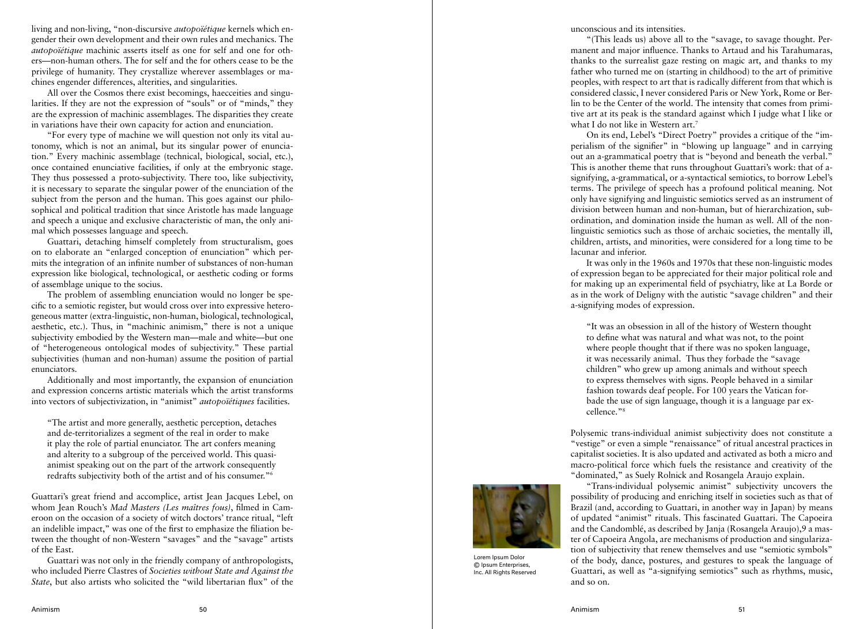living and non-living, "non-discursive *autopoïétique* kernels which en gender their own development and their own rules and mechanics. The *autopoïétique* machinic asserts itself as one for self and one for oth ers—non-human others. The for self and the for others cease to be the privilege of humanity. They crystallize wherever assemblages or ma chines engender differences, alterities, and singularities.

All over the Cosmos there exist becomings, haecceities and singu larities. If they are not the expression of "souls" or of "minds," they are the expression of machinic assemblages. The disparities they create in variations have their own capacity for action and enunciation.

"For every type of machine we will question not only its vital au tonomy, which is not an animal, but its singular power of enuncia tion." Every machinic assemblage (technical, biological, social, etc.), once contained enunciative facilities, if only at the embryonic stage. They thus possessed a proto-subjectivity. There too, like subjectivity, it is necessary to separate the singular power of the enunciation of the subject from the person and the human. This goes against our philo sophical and political tradition that since Aristotle has made language and speech a unique and exclusive characteristic of man, the only ani mal which possesses language and speech.

Guattari, detaching himself completely from structuralism, goes on to elaborate an "enlarged conception of enunciation" which per mits the integration of an infinite number of substances of non-human expression like biological, technological, or aesthetic coding or forms of assemblage unique to the socius.

The problem of assembling enunciation would no longer be spe cific to a semiotic register, but would cross over into expressive hetero geneous matter (extra-linguistic, non-human, biological, technological, aesthetic, etc.). Thus, in "machinic animism," there is not a unique subjectivity embodied by the Western man—male and white—but one of "heterogeneous ontological modes of subjectivity." These partial subjectivities (human and non-human) assume the position of partial enunciators.

Additionally and most importantly, the expansion of enunciation and expression concerns artistic materials which the artist transforms into vectors of subjectivization, in "animist" *autopoïétiques* facilities.

"The artist and more generally, aesthetic perception, detaches and de-territorializes a segment of the real in order to make it play the role of partial enunciator. The art confers meaning and alterity to a subgroup of the perceived world. This quasianimist speaking out on the part of the artwork consequently redrafts subjectivity both of the artist and of his consumer." 6

Guattari's great friend and accomplice, artist Jean Jacques Lebel, on whom Jean Rouch's *Mad Masters (Les maîtres fous)*, filmed in Cam eroon on the occasion of a society of witch doctors' trance ritual, "left an indelible impact," was one of the first to emphasize the filiation be tween the thought of non-Western "savages" and the "savage" artists of the East.

Guattari was not only in the friendly company of anthropologists, who included Pierre Clastres of *Societies without State and Against the State*, but also artists who solicited the "wild libertarian flux" of the unconscious and its intensities.

"(This leads us) above all to the "savage, to savage thought. Per manent and major influence. Thanks to Artaud and his Tarahumaras, thanks to the surrealist gaze resting on magic art, and thanks to my father who turned me on (starting in childhood) to the art of primitive peoples, with respect to art that is radically different from that which is considered classic, I never considered Paris or New York, Rome or Ber lin to be the Center of the world. The intensity that comes from primi tive art at its peak is the standard against which I judge what I like or what I do not like in Western art. 7

On its end, Lebel's "Direct Poetry" provides a critique of the "im perialism of the signifier" in "blowing up language" and in carrying out an a-grammatical poetry that is "beyond and beneath the verbal." This is another theme that runs throughout Guattari's work: that of asignifying, a-grammatical, or a-syntactical semiotics, to borrow Lebel's terms. The privilege of speech has a profound political meaning. Not only have signifying and linguistic semiotics served as an instrument of division between human and non-human, but of hierarchization, sub ordination, and domination inside the human as well. All of the nonlinguistic semiotics such as those of archaic societies, the mentally ill, children, artists, and minorities, were considered for a long time to be lacunar and inferior.

It was only in the 1960s and 1970s that these non-linguistic modes of expression began to be appreciated for their major political role and for making up an experimental field of psychiatry, like at La Borde or as in the work of Deligny with the autistic "savage children" and their a-signifying modes of expression.

"It was an obsession in all of the history of Western thought to define what was natural and what was not, to the point where people thought that if there was no spoken language, it was necessarily animal. Thus they forbade the "savage children" who grew up among animals and without speech to express themselves with signs. People behaved in a similar fashion towards deaf people. For 100 years the Vatican for bade the use of sign language, though it is a language par ex cellence." 8

Polysemic trans-individual animist subjectivity does not constitute a "vestige" or even a simple "renaissance" of ritual ancestral practices in capitalist societies. It is also updated and activated as both a micro and macro-political force which fuels the resistance and creativity of the "dominated," as Suely Rolnick and Rosangela Araujo explain.





Lorem Ipsum Dolor © Ipsum Enterprises, Inc. All Rights Reserved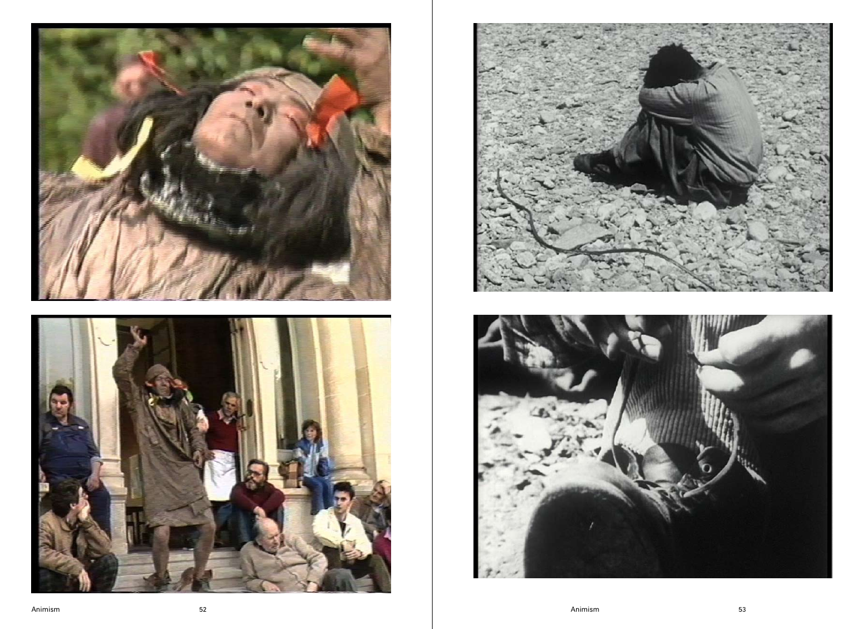





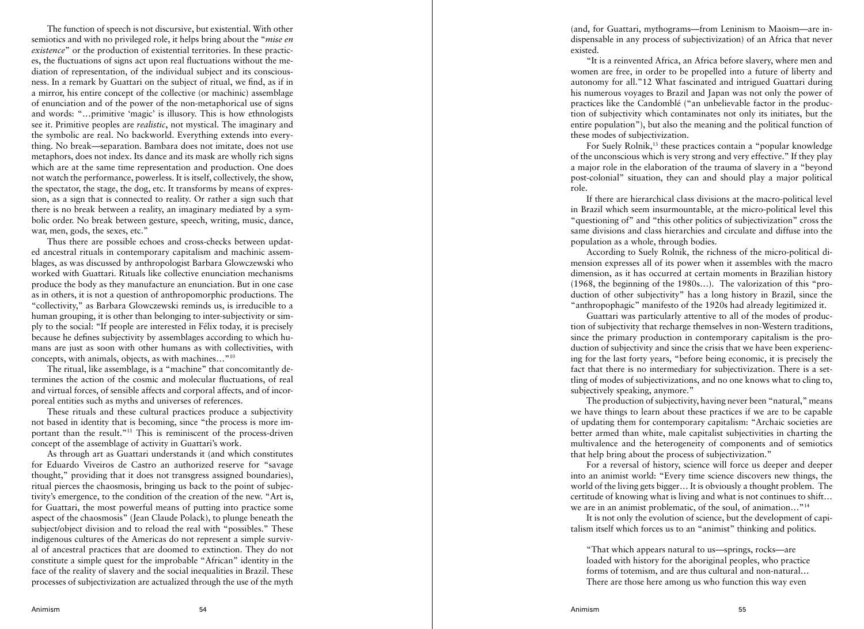The function of speech is not discursive, but existential. With other semiotics and with no privileged role, it helps bring about the "*mise en*  existence" or the production of existential territories. In these practices, the fluctuations of signs act upon real fluctuations without the me diation of representation, of the individual subject and its conscious ness. In a remark by Guattari on the subject of ritual, we find, as if in a mirror, his entire concept of the collective (or machinic) assemblage of enunciation and of the power of the non-metaphorical use of signs and words: "…primitive 'magic' is illusory. This is how ethnologists see it. Primitive peoples are *realistic*, not mystical. The imaginary and the symbolic are real. No backworld. Everything extends into every thing. No break—separation. Bambara does not imitate, does not use metaphors, does not index. Its dance and its mask are wholly rich signs which are at the same time representation and production. One does not watch the performance, powerless. It is itself, collectively, the show, the spectator, the stage, the dog, etc. It transforms by means of expres sion, as a sign that is connected to reality. Or rather a sign such that there is no break between a reality, an imaginary mediated by a sym bolic order. No break between gesture, speech, writing, music, dance, war, men, gods, the sexes, etc."

Thus there are possible echoes and cross-checks between updat ed ancestral rituals in contemporary capitalism and machinic assem blages, as was discussed by anthropologist Barbara Glowczewski who worked with Guattari. Rituals like collective enunciation mechanisms produce the body as they manufacture an enunciation. But in one case as in others, it is not a question of anthropomorphic productions. The "collectivity," as Barbara Glowczewski reminds us, is irreducible to a human grouping, it is other than belonging to inter-subjectivity or sim ply to the social: "If people are interested in Félix today, it is precisely because he defines subjectivity by assemblages according to which hu mans are just as soon with other humans as with collectivities, with concepts, with animals, objects, as with machines…"10

The ritual, like assemblage, is a "machine" that concomitantly de termines the action of the cosmic and molecular fluctuations, of real and virtual forces, of sensible affects and corporal affects, and of incor poreal entities such as myths and universes of references.

These rituals and these cultural practices produce a subjectivity not based in identity that is becoming, since "the process is more im portant than the result."11 This is reminiscent of the process-driven concept of the assemblage of activity in Guattari's work.

As through art as Guattari understands it (and which constitutes for Eduardo Viveiros de Castro an authorized reserve for "savage thought," providing that it does not transgress assigned boundaries), ritual pierces the chaosmosis, bringing us back to the point of subjec tivity's emergence, to the condition of the creation of the new. "Art is, for Guattari, the most powerful means of putting into practice some aspect of the chaosmosis" (Jean Claude Polack), to plunge beneath the subject/object division and to reload the real with "possibles." These indigenous cultures of the Americas do not represent a simple surviv al of ancestral practices that are doomed to extinction. They do not constitute a simple quest for the improbable "African" identity in the face of the reality of slavery and the social inequalities in Brazil. These processes of subjectivization are actualized through the use of the myth

(and, for Guattari, mythograms—from Leninism to Maoism—are in dispensable in any process of subjectivization) of an Africa that never existed.

"It is a reinvented Africa, an Africa before slavery, where men and women are free, in order to be propelled into a future of liberty and autonomy for all."12 What fascinated and intrigued Guattari during his numerous voyages to Brazil and Japan was not only the power of practices like the Candomblé ("an unbelievable factor in the produc tion of subjectivity which contaminates not only its initiates, but the entire population"), but also the meaning and the political function of these modes of subjectivization.

For Suely Rolnik,<sup>13</sup> these practices contain a "popular knowledge" of the unconscious which is very strong and very effective." If they play a major role in the elaboration of the trauma of slavery in a "beyond post-colonial" situation, they can and should play a major political role.

If there are hierarchical class divisions at the macro-political level in Brazil which seem insurmountable, at the micro-political level this "questioning of" and "this other politics of subjectivization" cross the same divisions and class hierarchies and circulate and diffuse into the population as a whole, through bodies.

According to Suely Rolnik, the richness of the micro-political di mension expresses all of its power when it assembles with the macro dimension, as it has occurred at certain moments in Brazilian history (1968, the beginning of the 1980s…). The valorization of this "pro duction of other subjectivity" has a long history in Brazil, since the "anthropophagic" manifesto of the 1920s had already legitimized it.

Guattari was particularly attentive to all of the modes of produc tion of subjectivity that recharge themselves in non-Western traditions, since the primary production in contemporary capitalism is the pro duction of subjectivity and since the crisis that we have been experiencing for the last forty years, "before being economic, it is precisely the fact that there is no intermediary for subjectivization. There is a settling of modes of subjectivizations, and no one knows what to cling to, subjectively speaking, anymore."

The production of subjectivity, having never been "natural," means we have things to learn about these practices if we are to be capable of updating them for contemporary capitalism: "Archaic societies are better armed than white, male capitalist subjectivities in charting the multivalence and the heterogeneity of components and of semiotics that help bring about the process of subjectivization."

For a reversal of history, science will force us deeper and deeper into an animist world: "Every time science discovers new things, the world of the living gets bigger… It is obviously a thought problem. The certitude of knowing what is living and what is not continues to shift… we are in an animist problematic, of the soul, of animation…"14

It is not only the evolution of science, but the development of capitalism itself which forces us to an "animist" thinking and politics.

"That which appears natural to us—springs, rocks—are loaded with history for the aboriginal peoples, who practice forms of totemism, and are thus cultural and non-natural… There are those here among us who function this way even